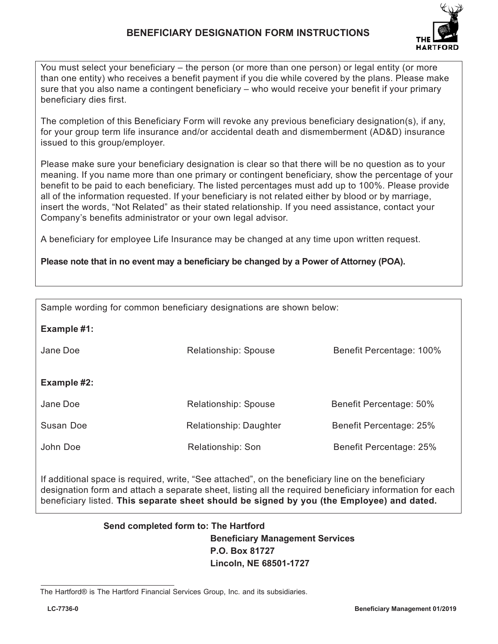

You must select your beneficiary – the person (or more than one person) or legal entity (or more than one entity) who receives a benefit payment if you die while covered by the plans. Please make sure that you also name a contingent beneficiary – who would receive your benefit if your primary beneficiary dies first.

The completion of this Beneficiary Form will revoke any previous beneficiary designation(s), if any, for your group term life insurance and/or accidental death and dismemberment (AD&D) insurance issued to this group/employer.

Please make sure your beneficiary designation is clear so that there will be no question as to your meaning. If you name more than one primary or contingent beneficiary, show the percentage of your benefit to be paid to each beneficiary. The listed percentages must add up to 100%. Please provide all of the information requested. If your beneficiary is not related either by blood or by marriage, insert the words, "Not Related" as their stated relationship. If you need assistance, contact your Company's benefits administrator or your own legal advisor.

A beneficiary for employee Life Insurance may be changed at any time upon written request.

**Please note that in no event may a beneficiary be changed by a Power of Attorney (POA).**

| Sample wording for common beneficiary designations are shown below: |                        |                          |  |  |
|---------------------------------------------------------------------|------------------------|--------------------------|--|--|
| Example #1:                                                         |                        |                          |  |  |
| Jane Doe                                                            | Relationship: Spouse   | Benefit Percentage: 100% |  |  |
|                                                                     |                        |                          |  |  |
| Example #2:                                                         |                        |                          |  |  |
| Jane Doe                                                            | Relationship: Spouse   | Benefit Percentage: 50%  |  |  |
| Susan Doe                                                           | Relationship: Daughter | Benefit Percentage: 25%  |  |  |
| John Doe                                                            | Relationship: Son      | Benefit Percentage: 25%  |  |  |

If additional space is required, write, "See attached", on the beneficiary line on the beneficiary designation form and attach a separate sheet, listing all the required beneficiary information for each beneficiary listed. **This separate sheet should be signed by you (the Employee) and dated.**

## **Send completed form to: The Hartford Beneficiary Management Services P.O. Box 81727 Lincoln, NE 68501-1727**

The Hartford® is The Hartford Financial Services Group, Inc. and its subsidiaries.